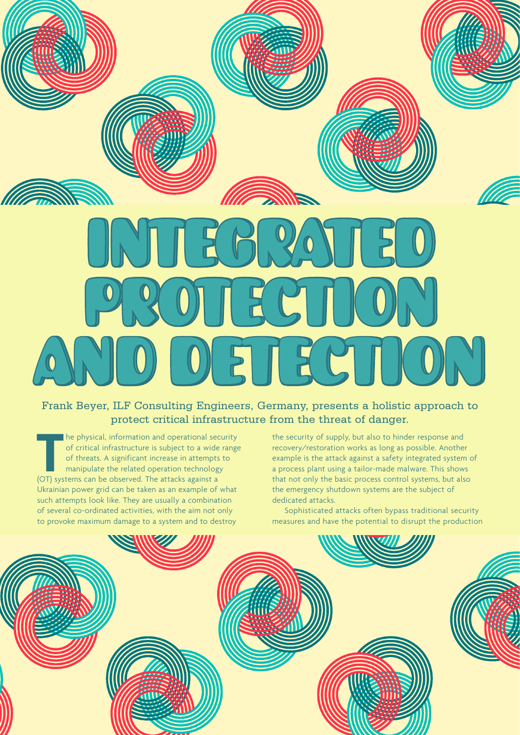# *Allia* **Robbe Altamina March 1997** INTEGRATED INTEGRATED PROTECTION PROTECTION AND DETECTION AND DETECTION

# Frank Beyer, ILF Consulting Engineers, Germany, presents a holistic approach to protect critical infrastructure from the threat of danger.

The physical, information and operational second relation of critical infrastructure is subject to a wide of threats. A significant increase in attempts manipulate the related operation technolog (OT) systems can be observ he physical, information and operational security of critical infrastructure is subject to a wide range of threats. A significant increase in attempts to manipulate the related operation technology Ukrainian power grid can be taken as an example of what such attempts look like. They are usually a combination of several co-ordinated activities, with the aim not only to provoke maximum damage to a system and to destroy

the security of supply, but also to hinder response and recovery/restoration works as long as possible. Another example is the attack against a safety integrated system of a process plant using a tailor-made malware. This shows that not only the basic process control systems, but also the emergency shutdown systems are the subject of dedicated attacks.

Sophisticated attacks often bypass traditional security measures and have the potential to disrupt the production

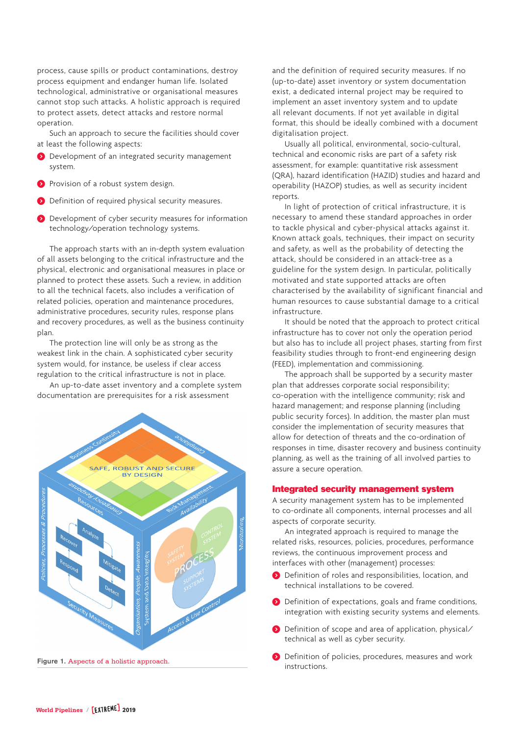process, cause spills or product contaminations, destroy process equipment and endanger human life. Isolated technological, administrative or organisational measures cannot stop such attacks. A holistic approach is required to protect assets, detect attacks and restore normal operation.

Such an approach to secure the facilities should cover at least the following aspects:

- ) Development of an integrated security management system.
- **b** Provision of a robust system design.
- ) Definition of required physical security measures.
- ) Development of cyber security measures for information technology/operation technology systems.

The approach starts with an in-depth system evaluation of all assets belonging to the critical infrastructure and the physical, electronic and organisational measures in place or planned to protect these assets. Such a review, in addition to all the technical facets, also includes a verification of related policies, operation and maintenance procedures, administrative procedures, security rules, response plans and recovery procedures, as well as the business continuity plan.

The protection line will only be as strong as the weakest link in the chain. A sophisticated cyber security system would, for instance, be useless if clear access regulation to the critical infrastructure is not in place.

An up-to-date asset inventory and a complete system documentation are prerequisites for a risk assessment



and the definition of required security measures. If no (up-to-date) asset inventory or system documentation exist, a dedicated internal project may be required to implement an asset inventory system and to update all relevant documents. If not yet available in digital format, this should be ideally combined with a document digitalisation project.

Usually all political, environmental, socio-cultural, technical and economic risks are part of a safety risk assessment, for example: quantitative risk assessment (QRA), hazard identification (HAZID) studies and hazard and operability (HAZOP) studies, as well as security incident reports.

In light of protection of critical infrastructure, it is necessary to amend these standard approaches in order to tackle physical and cyber-physical attacks against it. Known attack goals, techniques, their impact on security and safety, as well as the probability of detecting the attack, should be considered in an attack-tree as a guideline for the system design. In particular, politically motivated and state supported attacks are often characterised by the availability of significant financial and human resources to cause substantial damage to a critical infrastructure.

It should be noted that the approach to protect critical infrastructure has to cover not only the operation period but also has to include all project phases, starting from first feasibility studies through to front-end engineering design (FEED), implementation and commissioning.

The approach shall be supported by a security master plan that addresses corporate social responsibility; co-operation with the intelligence community; risk and hazard management; and response planning (including public security forces). In addition, the master plan must consider the implementation of security measures that allow for detection of threats and the co-ordination of responses in time, disaster recovery and business continuity planning, as well as the training of all involved parties to assure a secure operation.

#### Integrated security management system

A security management system has to be implemented to co-ordinate all components, internal processes and all aspects of corporate security.

An integrated approach is required to manage the related risks, resources, policies, procedures, performance reviews, the continuous improvement process and interfaces with other (management) processes:

- ) Definition of roles and responsibilities, location, and technical installations to be covered.
- ) Definition of expectations, goals and frame conditions, integration with existing security systems and elements.
- ) Definition of scope and area of application, physical/ technical as well as cyber security.
- **O** Definition of policies, procedures, measures and work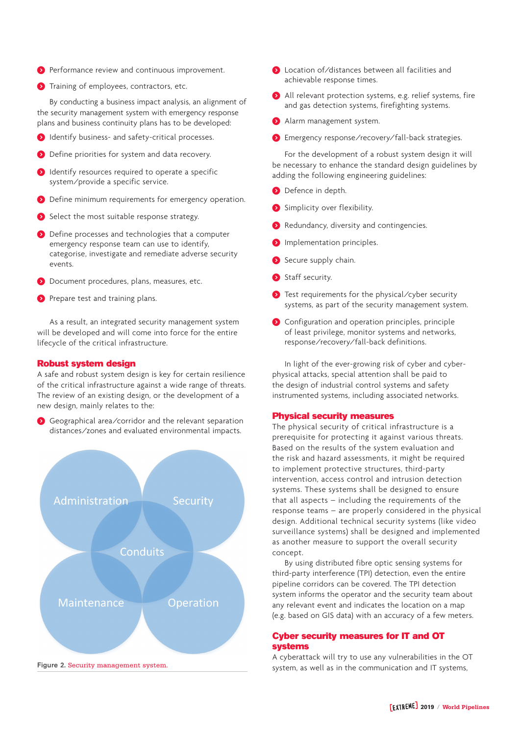- ) Performance review and continuous improvement.
- **1** Training of employees, contractors, etc.

By conducting a business impact analysis, an alignment of the security management system with emergency response plans and business continuity plans has to be developed:

- ) Identify business- and safety-critical processes.
- ) Define priorities for system and data recovery.
- **b** Identify resources required to operate a specific system/provide a specific service.
- ) Define minimum requirements for emergency operation.
- Select the most suitable response strategy.
- ) Define processes and technologies that a computer emergency response team can use to identify, categorise, investigate and remediate adverse security events.
- ) Document procedures, plans, measures, etc.
- **O** Prepare test and training plans.

As a result, an integrated security management system will be developed and will come into force for the entire lifecycle of the critical infrastructure.

#### Robust system design

A safe and robust system design is key for certain resilience of the critical infrastructure against a wide range of threats. The review of an existing design, or the development of a new design, mainly relates to the:

) Geographical area/corridor and the relevant separation distances/zones and evaluated environmental impacts.



- **2** Location of/distances between all facilities and achievable response times.
- ) All relevant protection systems, e.g. relief systems, fire and gas detection systems, firefighting systems.
- ) Alarm management system.
- ) Emergency response/recovery/fall-back strategies.

For the development of a robust system design it will be necessary to enhance the standard design guidelines by adding the following engineering guidelines:

- **D** Defence in depth.
- ) Simplicity over flexibility.
- Redundancy, diversity and contingencies.
- **O** Implementation principles.
- Secure supply chain.
- ) Staff security.
- ) Test requirements for the physical/cyber security systems, as part of the security management system.
- ) Configuration and operation principles, principle of least privilege, monitor systems and networks, response/recovery/fall-back definitions.

In light of the ever-growing risk of cyber and cyberphysical attacks, special attention shall be paid to the design of industrial control systems and safety instrumented systems, including associated networks.

### Physical security measures

The physical security of critical infrastructure is a prerequisite for protecting it against various threats. Based on the results of the system evaluation and the risk and hazard assessments, it might be required to implement protective structures, third-party intervention, access control and intrusion detection systems. These systems shall be designed to ensure that all aspects – including the requirements of the response teams – are properly considered in the physical design. Additional technical security systems (like video surveillance systems) shall be designed and implemented as another measure to support the overall security concept.

By using distributed fibre optic sensing systems for third-party interference (TPI) detection, even the entire pipeline corridors can be covered. The TPI detection system informs the operator and the security team about any relevant event and indicates the location on a map (e.g. based on GIS data) with an accuracy of a few meters.

## Cyber security measures for IT and OT systems

A cyberattack will try to use any vulnerabilities in the OT